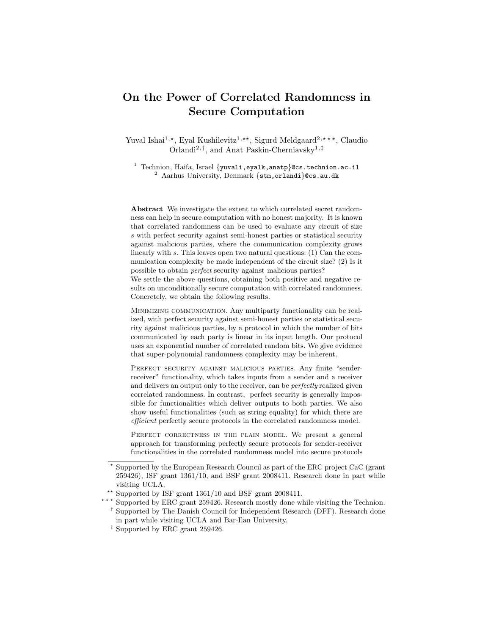# On the Power of Correlated Randomness in Secure Computation

Yuval Ishai<sup>1,\*</sup>, Eyal Kushilevitz<sup>1,\*\*</sup>, Sigurd Meldgaard<sup>2,\*\*\*</sup>, Claudio Orlandi<sup>2,†</sup>, and Anat Paskin-Cherniavsky<sup>1,‡</sup>

<sup>1</sup> Technion, Haifa, Israel {yuvali,eyalk,anatp}@cs.technion.ac.il  $^2$  Aarhus University, Denmark { $\texttt{stm}$ ,orlandi}@cs.au.dk

Abstract We investigate the extent to which correlated secret randomness can help in secure computation with no honest majority. It is known that correlated randomness can be used to evaluate any circuit of size s with perfect security against semi-honest parties or statistical security against malicious parties, where the communication complexity grows linearly with s. This leaves open two natural questions: (1) Can the communication complexity be made independent of the circuit size? (2) Is it possible to obtain perfect security against malicious parties?

We settle the above questions, obtaining both positive and negative results on unconditionally secure computation with correlated randomness. Concretely, we obtain the following results.

MINIMIZING COMMUNICATION. Any multiparty functionality can be realized, with perfect security against semi-honest parties or statistical security against malicious parties, by a protocol in which the number of bits communicated by each party is linear in its input length. Our protocol uses an exponential number of correlated random bits. We give evidence that super-polynomial randomness complexity may be inherent.

PERFECT SECURITY AGAINST MALICIOUS PARTIES. Any finite "senderreceiver" functionality, which takes inputs from a sender and a receiver and delivers an output only to the receiver, can be perfectly realized given correlated randomness. In contrast, perfect security is generally impossible for functionalities which deliver outputs to both parties. We also show useful functionalities (such as string equality) for which there are efficient perfectly secure protocols in the correlated randomness model.

PERFECT CORRECTNESS IN THE PLAIN MODEL. We present a general approach for transforming perfectly secure protocols for sender-receiver functionalities in the correlated randomness model into secure protocols

Supported by the European Research Council as part of the ERC project CaC (grant 259426), ISF grant 1361/10, and BSF grant 2008411. Research done in part while visiting UCLA.

<sup>\*\*</sup> Supported by ISF grant  $1361/10$  and BSF grant 2008411.

 $^{\star\;\star\;\star}$  Supported by ERC grant 259426. Research mostly done while visiting the Technion. † Supported by The Danish Council for Independent Research (DFF). Research done in part while visiting UCLA and Bar-Ilan University.

<sup>‡</sup> Supported by ERC grant 259426.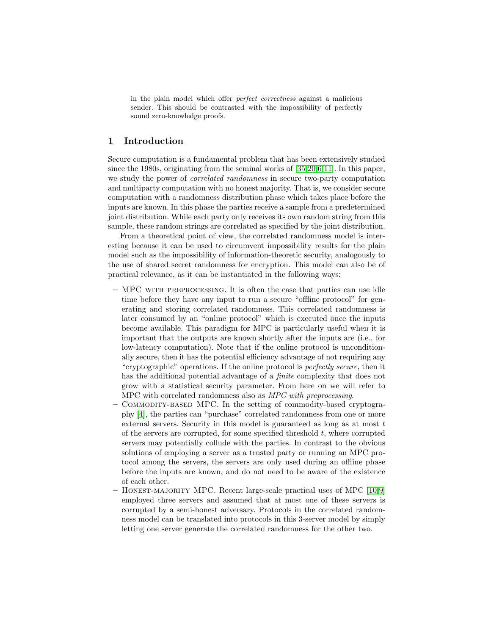in the plain model which offer perfect correctness against a malicious sender. This should be contrasted with the impossibility of perfectly sound zero-knowledge proofs.

## 1 Introduction

Secure computation is a fundamental problem that has been extensively studied since the 1980s, originating from the seminal works of [\[35,](#page-16-0)[20,](#page-15-0)[6,](#page-15-1)[11\]](#page-15-2). In this paper, we study the power of *correlated randomness* in secure two-party computation and multiparty computation with no honest majority. That is, we consider secure computation with a randomness distribution phase which takes place before the inputs are known. In this phase the parties receive a sample from a predetermined joint distribution. While each party only receives its own random string from this sample, these random strings are correlated as specified by the joint distribution.

From a theoretical point of view, the correlated randomness model is interesting because it can be used to circumvent impossibility results for the plain model such as the impossibility of information-theoretic security, analogously to the use of shared secret randomness for encryption. This model can also be of practical relevance, as it can be instantiated in the following ways:

- MPC with preprocessing. It is often the case that parties can use idle time before they have any input to run a secure "offline protocol" for generating and storing correlated randomness. This correlated randomness is later consumed by an "online protocol" which is executed once the inputs become available. This paradigm for MPC is particularly useful when it is important that the outputs are known shortly after the inputs are (i.e., for low-latency computation). Note that if the online protocol is unconditionally secure, then it has the potential efficiency advantage of not requiring any "cryptographic" operations. If the online protocol is perfectly secure, then it has the additional potential advantage of a finite complexity that does not grow with a statistical security parameter. From here on we will refer to MPC with correlated randomness also as *MPC with preprocessing*.
- Commodity-based MPC. In the setting of commodity-based cryptography [\[4\]](#page-15-3), the parties can "purchase" correlated randomness from one or more external servers. Security in this model is guaranteed as long as at most  $t$ of the servers are corrupted, for some specified threshold  $t$ , where corrupted servers may potentially collude with the parties. In contrast to the obvious solutions of employing a server as a trusted party or running an MPC protocol among the servers, the servers are only used during an offline phase before the inputs are known, and do not need to be aware of the existence of each other.
- Honest-majority MPC. Recent large-scale practical uses of MPC [\[10,](#page-15-4)[9\]](#page-15-5) employed three servers and assumed that at most one of these servers is corrupted by a semi-honest adversary. Protocols in the correlated randomness model can be translated into protocols in this 3-server model by simply letting one server generate the correlated randomness for the other two.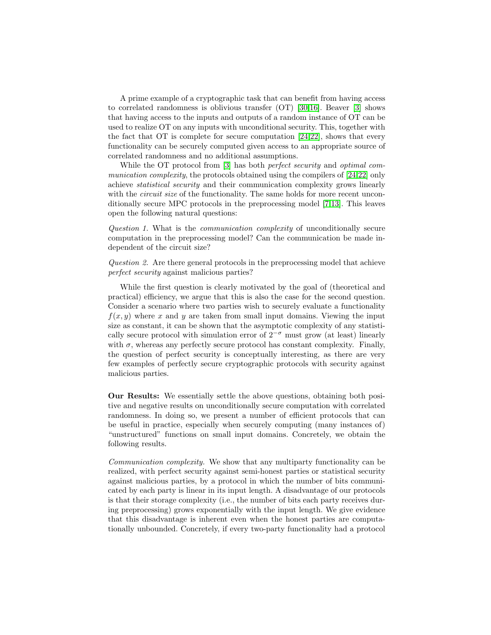A prime example of a cryptographic task that can benefit from having access to correlated randomness is oblivious transfer (OT) [\[30,](#page-16-1)[16\]](#page-15-6). Beaver [\[3\]](#page-15-7) shows that having access to the inputs and outputs of a random instance of OT can be used to realize OT on any inputs with unconditional security. This, together with the fact that OT is complete for secure computation [\[24,](#page-16-2)[22\]](#page-16-3), shows that every functionality can be securely computed given access to an appropriate source of correlated randomness and no additional assumptions.

While the OT protocol from [\[3\]](#page-15-7) has both *perfect security* and *optimal com*munication complexity, the protocols obtained using the compilers of [\[24,](#page-16-2)[22\]](#page-16-3) only achieve statistical security and their communication complexity grows linearly with the *circuit size* of the functionality. The same holds for more recent unconditionally secure MPC protocols in the preprocessing model [\[7,](#page-15-8)[13\]](#page-15-9). This leaves open the following natural questions:

Question 1. What is the communication complexity of unconditionally secure computation in the preprocessing model? Can the communication be made independent of the circuit size?

Question 2. Are there general protocols in the preprocessing model that achieve perfect security against malicious parties?

While the first question is clearly motivated by the goal of (theoretical and practical) efficiency, we argue that this is also the case for the second question. Consider a scenario where two parties wish to securely evaluate a functionality  $f(x, y)$  where x and y are taken from small input domains. Viewing the input size as constant, it can be shown that the asymptotic complexity of any statistically secure protocol with simulation error of  $2^{-\sigma}$  must grow (at least) linearly with  $\sigma$ , whereas any perfectly secure protocol has constant complexity. Finally, the question of perfect security is conceptually interesting, as there are very few examples of perfectly secure cryptographic protocols with security against malicious parties.

Our Results: We essentially settle the above questions, obtaining both positive and negative results on unconditionally secure computation with correlated randomness. In doing so, we present a number of efficient protocols that can be useful in practice, especially when securely computing (many instances of) "unstructured" functions on small input domains. Concretely, we obtain the following results.

Communication complexity. We show that any multiparty functionality can be realized, with perfect security against semi-honest parties or statistical security against malicious parties, by a protocol in which the number of bits communicated by each party is linear in its input length. A disadvantage of our protocols is that their storage complexity (i.e., the number of bits each party receives during preprocessing) grows exponentially with the input length. We give evidence that this disadvantage is inherent even when the honest parties are computationally unbounded. Concretely, if every two-party functionality had a protocol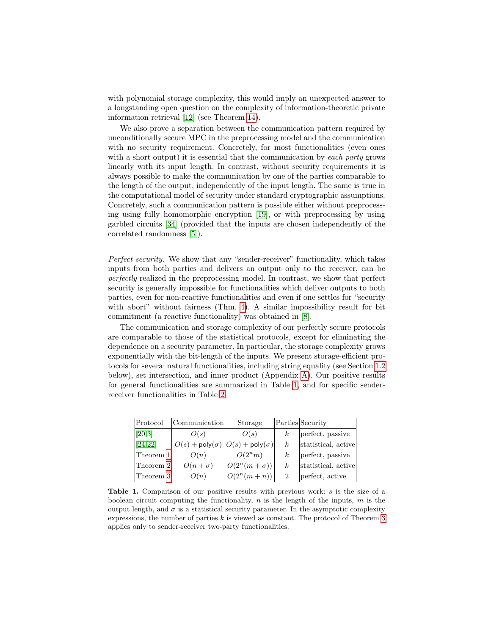with polynomial storage complexity, this would imply an unexpected answer to a longstanding open question on the complexity of information-theoretic private information retrieval [\[12\]](#page-15-10) (see Theorem [14\)](#page-19-0).

We also prove a separation between the communication pattern required by unconditionally secure MPC in the preprocessing model and the communication with no security requirement. Concretely, for most functionalities (even ones with a short output) it is essential that the communication by each party grows linearly with its input length. In contrast, without security requirements it is always possible to make the communication by one of the parties comparable to the length of the output, independently of the input length. The same is true in the computational model of security under standard cryptographic assumptions. Concretely, such a communication pattern is possible either without preprocessing using fully homomorphic encryption [\[19\]](#page-15-11), or with preprocessing by using garbled circuits [\[34\]](#page-16-4) (provided that the inputs are chosen independently of the correlated randomness [\[5\]](#page-15-12)).

Perfect security. We show that any "sender-receiver" functionality, which takes inputs from both parties and delivers an output only to the receiver, can be perfectly realized in the preprocessing model. In contrast, we show that perfect security is generally impossible for functionalities which deliver outputs to both parties, even for non-reactive functionalities and even if one settles for "security with abort" without fairness (Thm. [4\)](#page-12-0). A similar impossibility result for bit commitment (a reactive functionality) was obtained in [\[8\]](#page-15-13).

The communication and storage complexity of our perfectly secure protocols are comparable to those of the statistical protocols, except for eliminating the dependence on a security parameter. In particular, the storage complexity grows exponentially with the bit-length of the inputs. We present storage-efficient protocols for several natural functionalities, including string equality (see Section [1.2](#page-5-0) below), set intersection, and inner product (Appendix [A\)](#page-16-5). Our positive results for general functionalities are summarized in Table [1,](#page-3-0) and for specific senderreceiver functionalities in Table [2.](#page-4-0)

| Protocol  | Communication                                               | Storage                         |                  | Parties Security    |
|-----------|-------------------------------------------------------------|---------------------------------|------------------|---------------------|
| [20,3]    | O(s)                                                        | O(s)                            | k <sub>i</sub>   | perfect, passive    |
| $[24,22]$ | $O(s) + \text{poly}(\sigma)$ $ O(s) + \text{poly}(\sigma) $ |                                 | $\boldsymbol{k}$ | statistical, active |
| Theorem 1 | O(n)                                                        | O(2 <sup>n</sup> m)             | $\kappa$         | perfect, passive    |
| Theorem 2 | $O(n+\sigma)$                                               | $\left O(2^n(m+\sigma))\right $ | $\boldsymbol{k}$ | statistical, active |
| Theorem 3 | O(n)                                                        | $O(2^n(m+n))$                   | $\overline{2}$   | perfect, active     |

<span id="page-3-0"></span>Table 1. Comparison of our positive results with previous work: s is the size of a boolean circuit computing the functionality,  $n$  is the length of the inputs,  $m$  is the output length, and  $\sigma$  is a statistical security parameter. In the asymptotic complexity expressions, the number of parties  $k$  is viewed as constant. The protocol of Theorem [3](#page-8-2) applies only to sender-receiver two-party functionalities.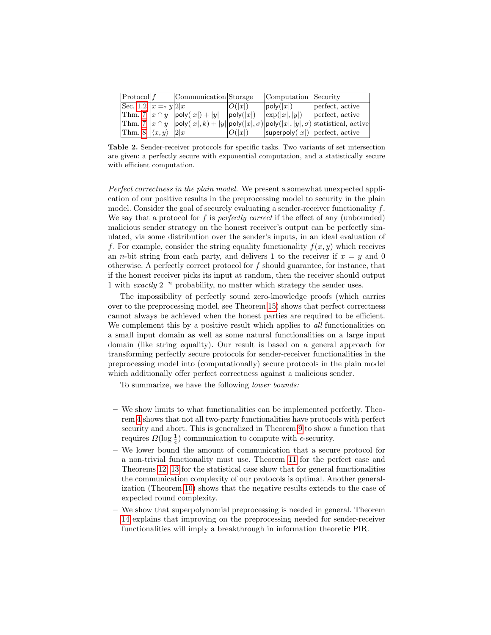| $ $ Protocol $ f $                | Communication Storage                  |           | Computation Security |                                                                                                           |
|-----------------------------------|----------------------------------------|-----------|----------------------|-----------------------------------------------------------------------------------------------------------|
| Sec. 1.2 $ x = y 2 x $            |                                        | O( x )    | poly( x )            | perfect, active                                                                                           |
|                                   | Thm. 7 $ x \cap y $ $ poly( x ) +  y $ | poly( x ) | $\exp( x ,  y )$     | perfect, active                                                                                           |
|                                   |                                        |           |                      | Thm. 7 $ x \cap y $ $ poly( x , k) +  y   poly( x , \sigma) poly( x ,  y , \sigma) )$ statistical, active |
| Thm. 8 $\langle x, y \rangle$ 2 x |                                        | O( x )    |                      | $ $ superpoly $( x )$   perfect, active                                                                   |

<span id="page-4-0"></span>Table 2. Sender-receiver protocols for specific tasks. Two variants of set intersection are given: a perfectly secure with exponential computation, and a statistically secure with efficient computation.

Perfect correctness in the plain model. We present a somewhat unexpected application of our positive results in the preprocessing model to security in the plain model. Consider the goal of securely evaluating a sender-receiver functionality  $f$ . We say that a protocol for f is *perfectly correct* if the effect of any (unbounded) malicious sender strategy on the honest receiver's output can be perfectly simulated, via some distribution over the sender's inputs, in an ideal evaluation of f. For example, consider the string equality functionality  $f(x, y)$  which receives an *n*-bit string from each party, and delivers 1 to the receiver if  $x = y$  and 0 otherwise. A perfectly correct protocol for f should guarantee, for instance, that if the honest receiver picks its input at random, then the receiver should output 1 with exactly  $2^{-n}$  probability, no matter which strategy the sender uses.

The impossibility of perfectly sound zero-knowledge proofs (which carries over to the preprocessing model, see Theorem [15\)](#page-19-1) shows that perfect correctness cannot always be achieved when the honest parties are required to be efficient. We complement this by a positive result which applies to *all* functionalities on a small input domain as well as some natural functionalities on a large input domain (like string equality). Our result is based on a general approach for transforming perfectly secure protocols for sender-receiver functionalities in the preprocessing model into (computationally) secure protocols in the plain model which additionally offer perfect correctness against a malicious sender.

To summarize, we have the following lower bounds:

- We show limits to what functionalities can be implemented perfectly. Theorem [4](#page-12-0) shows that not all two-party functionalities have protocols with perfect security and abort. This is generalized in Theorem [9](#page-18-1) to show a function that requires  $\Omega(\log \frac{1}{\epsilon})$  communication to compute with  $\epsilon$ -security.
- We lower bound the amount of communication that a secure protocol for a non-trivial functionality must use. Theorem [11](#page-19-2) for the perfect case and Theorems [12,](#page-19-3) [13](#page-19-4) for the statistical case show that for general functionalities the communication complexity of our protocols is optimal. Another generalization (Theorem [10\)](#page-19-5) shows that the negative results extends to the case of expected round complexity.
- We show that superpolynomial preprocessing is needed in general. Theorem [14](#page-19-0) explains that improving on the preprocessing needed for sender-receiver functionalities will imply a breakthrough in information theoretic PIR.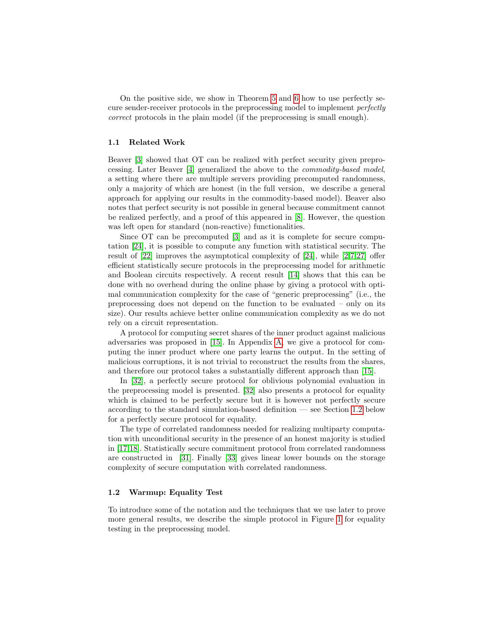On the positive side, we show in Theorem [5](#page-14-0) and [6](#page-14-1) how to use perfectly secure sender-receiver protocols in the preprocessing model to implement perfectly correct protocols in the plain model (if the preprocessing is small enough).

## 1.1 Related Work

Beaver [\[3\]](#page-15-7) showed that OT can be realized with perfect security given preprocessing. Later Beaver [\[4\]](#page-15-3) generalized the above to the commodity-based model, a setting where there are multiple servers providing precomputed randomness, only a majority of which are honest (in the full version, we describe a general approach for applying our results in the commodity-based model). Beaver also notes that perfect security is not possible in general because commitment cannot be realized perfectly, and a proof of this appeared in [\[8\]](#page-15-13). However, the question was left open for standard (non-reactive) functionalities.

Since OT can be precomputed [\[3\]](#page-15-7) and as it is complete for secure computation [\[24\]](#page-16-2), it is possible to compute any function with statistical security. The result of [\[22\]](#page-16-3) improves the asymptotical complexity of [\[24\]](#page-16-2), while [\[2,](#page-15-14)[7,](#page-15-8)[27\]](#page-16-7) offer efficient statistically secure protocols in the preprocessing model for arithmetic and Boolean circuits respectively. A recent result [\[14\]](#page-15-15) shows that this can be done with no overhead during the online phase by giving a protocol with optimal communication complexity for the case of "generic preprocessing" (i.e., the preprocessing does not depend on the function to be evaluated – only on its size). Our results achieve better online communication complexity as we do not rely on a circuit representation.

A protocol for computing secret shares of the inner product against malicious adversaries was proposed in [\[15\]](#page-15-16). In Appendix [A,](#page-16-5) we give a protocol for computing the inner product where one party learns the output. In the setting of malicious corruptions, it is not trivial to reconstruct the results from the shares, and therefore our protocol takes a substantially different approach than [\[15\]](#page-15-16).

In [\[32\]](#page-16-8), a perfectly secure protocol for oblivious polynomial evaluation in the preprocessing model is presented. [\[32\]](#page-16-8) also presents a protocol for equality which is claimed to be perfectly secure but it is however not perfectly secure according to the standard simulation-based definition — see Section [1.2](#page-5-0) below for a perfectly secure protocol for equality.

The type of correlated randomness needed for realizing multiparty computation with unconditional security in the presence of an honest majority is studied in [\[17](#page-15-17)[,18\]](#page-15-18). Statistically secure commitment protocol from correlated randomness are constructed in [\[31\]](#page-16-9). Finally [\[33\]](#page-16-10) gives linear lower bounds on the storage complexity of secure computation with correlated randomness.

## <span id="page-5-0"></span>1.2 Warmup: Equality Test

To introduce some of the notation and the techniques that we use later to prove more general results, we describe the simple protocol in Figure [1](#page-6-0) for equality testing in the preprocessing model.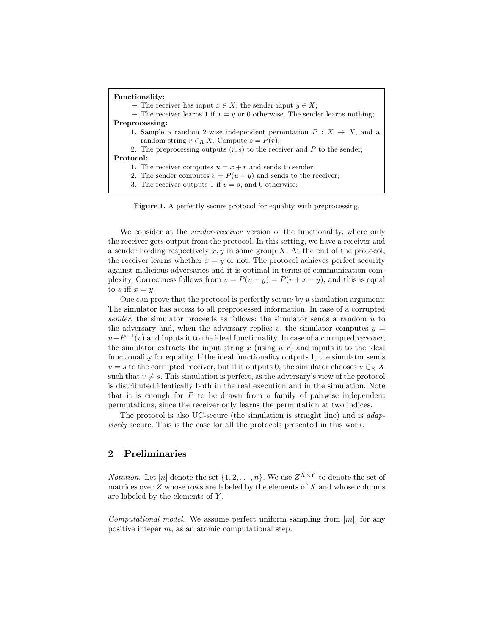Functionality:

– The receiver has input  $x \in X$ , the sender input  $y \in X$ ;

- The receiver learns 1 if  $x = y$  or 0 otherwise. The sender learns nothing; Preprocessing:
	- 1. Sample a random 2-wise independent permutation  $P: X \rightarrow X$ , and a random string  $r \in_R X$ . Compute  $s = P(r)$ ;
	- 2. The preprocessing outputs  $(r, s)$  to the receiver and P to the sender;

Protocol:

- 1. The receiver computes  $u = x + r$  and sends to sender;
- 2. The sender computes  $v = P(u y)$  and sends to the receiver;
- 3. The receiver outputs 1 if  $v = s$ , and 0 otherwise;

<span id="page-6-0"></span>Figure 1. A perfectly secure protocol for equality with preprocessing.

We consider at the *sender-receiver* version of the functionality, where only the receiver gets output from the protocol. In this setting, we have a receiver and a sender holding respectively  $x, y$  in some group X. At the end of the protocol, the receiver learns whether  $x = y$  or not. The protocol achieves perfect security against malicious adversaries and it is optimal in terms of communication complexity. Correctness follows from  $v = P(u - y) = P(r + x - y)$ , and this is equal to s iff  $x = y$ .

One can prove that the protocol is perfectly secure by a simulation argument: The simulator has access to all preprocessed information. In case of a corrupted sender, the simulator proceeds as follows: the simulator sends a random u to the adversary and, when the adversary replies v, the simulator computes  $y =$  $u-P^{-1}(v)$  and inputs it to the ideal functionality. In case of a corrupted *receiver*, the simulator extracts the input string  $x$  (using  $u, r$ ) and inputs it to the ideal functionality for equality. If the ideal functionality outputs 1, the simulator sends  $v = s$  to the corrupted receiver, but if it outputs 0, the simulator chooses  $v \in_R X$ such that  $v \neq s$ . This simulation is perfect, as the adversary's view of the protocol is distributed identically both in the real execution and in the simulation. Note that it is enough for  $P$  to be drawn from a family of pairwise independent permutations, since the receiver only learns the permutation at two indices.

The protocol is also UC-secure (the simulation is straight line) and is adaptively secure. This is the case for all the protocols presented in this work.

# <span id="page-6-1"></span>2 Preliminaries

*Notation.* Let [n] denote the set  $\{1, 2, ..., n\}$ . We use  $Z^{X \times Y}$  to denote the set of matrices over  $Z$  whose rows are labeled by the elements of  $X$  and whose columns are labeled by the elements of Y .

Computational model. We assume perfect uniform sampling from  $[m]$ , for any positive integer m, as an atomic computational step.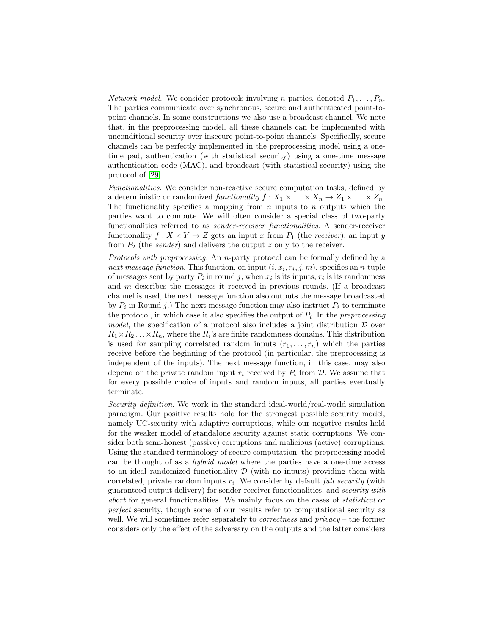*Network model.* We consider protocols involving *n* parties, denoted  $P_1, \ldots, P_n$ . The parties communicate over synchronous, secure and authenticated point-topoint channels. In some constructions we also use a broadcast channel. We note that, in the preprocessing model, all these channels can be implemented with unconditional security over insecure point-to-point channels. Specifically, secure channels can be perfectly implemented in the preprocessing model using a onetime pad, authentication (with statistical security) using a one-time message authentication code (MAC), and broadcast (with statistical security) using the protocol of [\[29\]](#page-16-11).

Functionalities. We consider non-reactive secure computation tasks, defined by a deterministic or randomized functionality  $f: X_1 \times \ldots \times X_n \to Z_1 \times \ldots \times Z_n$ . The functionality specifies a mapping from  $n$  inputs to  $n$  outputs which the parties want to compute. We will often consider a special class of two-party functionalities referred to as sender-receiver functionalities. A sender-receiver functionality  $f: X \times Y \to Z$  gets an input x from  $P_1$  (the *receiver*), an input y from  $P_2$  (the *sender*) and delivers the output z only to the receiver.

Protocols with preprocessing. An n-party protocol can be formally defined by a next message function. This function, on input  $(i, x_i, r_i, j, m)$ , specifies an *n*-tuple of messages sent by party  $P_i$  in round j, when  $x_i$  is its inputs,  $r_i$  is its randomness and  $m$  describes the messages it received in previous rounds. (If a broadcast channel is used, the next message function also outputs the message broadcasted by  $P_i$  in Round j.) The next message function may also instruct  $P_i$  to terminate the protocol, in which case it also specifies the output of  $P_i$ . In the *preprocessing* model, the specification of a protocol also includes a joint distribution  $\mathcal D$  over  $R_1 \times R_2 \dots \times R_n$ , where the  $R_i$ 's are finite randomness domains. This distribution is used for sampling correlated random inputs  $(r_1, \ldots, r_n)$  which the parties receive before the beginning of the protocol (in particular, the preprocessing is independent of the inputs). The next message function, in this case, may also depend on the private random input  $r_i$  received by  $P_i$  from  $D$ . We assume that for every possible choice of inputs and random inputs, all parties eventually terminate.

Security definition. We work in the standard ideal-world/real-world simulation paradigm. Our positive results hold for the strongest possible security model, namely UC-security with adaptive corruptions, while our negative results hold for the weaker model of standalone security against static corruptions. We consider both semi-honest (passive) corruptions and malicious (active) corruptions. Using the standard terminology of secure computation, the preprocessing model can be thought of as a hybrid model where the parties have a one-time access to an ideal randomized functionality  $\mathcal D$  (with no inputs) providing them with correlated, private random inputs  $r_i$ . We consider by default full security (with guaranteed output delivery) for sender-receiver functionalities, and security with abort for general functionalities. We mainly focus on the cases of statistical or perfect security, though some of our results refer to computational security as well. We will sometimes refer separately to *correctness* and *privacy* – the former considers only the effect of the adversary on the outputs and the latter considers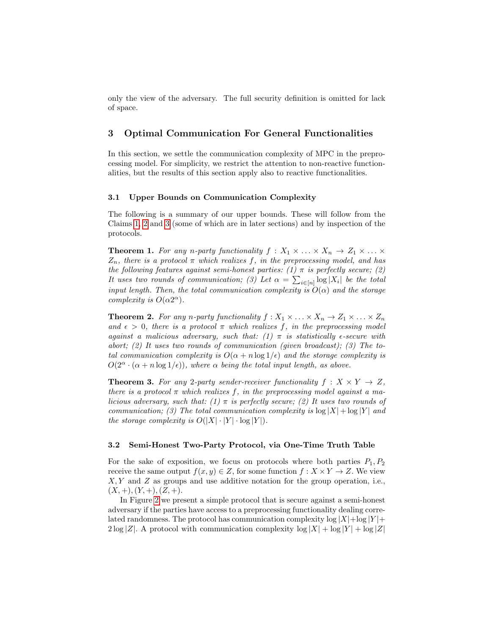only the view of the adversary. The full security definition is omitted for lack of space.

## 3 Optimal Communication For General Functionalities

In this section, we settle the communication complexity of MPC in the preprocessing model. For simplicity, we restrict the attention to non-reactive functionalities, but the results of this section apply also to reactive functionalities.

## 3.1 Upper Bounds on Communication Complexity

The following is a summary of our upper bounds. These will follow from the Claims [1,](#page-9-0) [2](#page-10-0) and [3](#page-11-0) (some of which are in later sections) and by inspection of the protocols.

<span id="page-8-0"></span>**Theorem 1.** For any n-party functionality  $f: X_1 \times \ldots \times X_n \to Z_1 \times \ldots \times Z_n$  $Z_n$ , there is a protocol  $\pi$  which realizes f, in the preprocessing model, and has the following features against semi-honest parties: (1)  $\pi$  is perfectly secure; (2) It uses two rounds of communication; (3) Let  $\alpha = \sum_{i \in [n]} \log |X_i|$  be the total input length. Then, the total communication complexity is  $O(\alpha)$  and the storage complexity is  $O(\alpha 2^{\alpha})$ .

<span id="page-8-1"></span>**Theorem 2.** For any n-party functionality  $f: X_1 \times \ldots \times X_n \to Z_1 \times \ldots \times Z_n$ and  $\epsilon > 0$ , there is a protocol  $\pi$  which realizes f, in the preprocessing model against a malicious adversary, such that: (1)  $\pi$  is statistically e-secure with abort;  $(2)$  It uses two rounds of communication (given broadcast);  $(3)$  The total communication complexity is  $O(\alpha + n \log 1/\epsilon)$  and the storage complexity is  $O(2^{\alpha} \cdot (\alpha + n \log 1/\epsilon))$ , where  $\alpha$  being the total input length, as above.

<span id="page-8-2"></span>**Theorem 3.** For any 2-party sender-receiver functionality  $f : X \times Y \to Z$ , there is a protocol  $\pi$  which realizes f, in the preprocessing model against a malicious adversary, such that:  $(1)$   $\pi$  is perfectly secure;  $(2)$  It uses two rounds of communication; (3) The total communication complexity is  $\log |X| + \log |Y|$  and the storage complexity is  $O(|X| \cdot |Y| \cdot \log |Y|)$ .

## 3.2 Semi-Honest Two-Party Protocol, via One-Time Truth Table

For the sake of exposition, we focus on protocols where both parties  $P_1, P_2$ receive the same output  $f(x, y) \in Z$ , for some function  $f: X \times Y \to Z$ . We view  $X, Y$  and  $Z$  as groups and use additive notation for the group operation, i.e.,  $(X, +), (Y, +), (Z, +).$ 

In Figure [2](#page-9-1) we present a simple protocol that is secure against a semi-honest adversary if the parties have access to a preprocessing functionality dealing correlated randomness. The protocol has communication complexity  $\log |X| + \log |Y| +$  $2\log|Z|$ . A protocol with communication complexity  $\log|X| + \log|Y| + \log|Z|$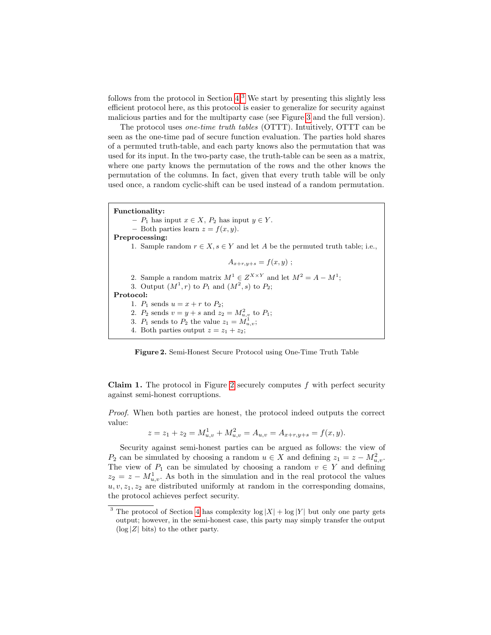follows from the protocol in Section [4.](#page-11-1)[3](#page-9-2) We start by presenting this slightly less efficient protocol here, as this protocol is easier to generalize for security against malicious parties and for the multiparty case (see Figure [3](#page-11-2) and the full version).

The protocol uses one-time truth tables (OTTT). Intuitively, OTTT can be seen as the one-time pad of secure function evaluation. The parties hold shares of a permuted truth-table, and each party knows also the permutation that was used for its input. In the two-party case, the truth-table can be seen as a matrix, where one party knows the permutation of the rows and the other knows the permutation of the columns. In fact, given that every truth table will be only used once, a random cyclic-shift can be used instead of a random permutation.

Functionality:  $-P_1$  has input  $x \in X$ ,  $P_2$  has input  $y \in Y$ . – Both parties learn  $z = f(x, y)$ . Preprocessing: 1. Sample random  $r \in X$ ,  $s \in Y$  and let A be the permuted truth table; i.e.,  $A_{x+r,y+s} = f(x, y)$ ; 2. Sample a random matrix  $M^1 \in Z^{X \times Y}$  and let  $M^2 = A - M^1$ ; 3. Output  $(M^1, r)$  to  $P_1$  and  $(M^2, s)$  to  $P_2$ ; Protocol: 1.  $P_1$  sends  $u = x + r$  to  $P_2$ ; 2.  $P_2$  sends  $v = y + s$  and  $z_2 = M_{u,v}^2$  to  $P_1$ ; 3.  $P_1$  sends to  $P_2$  the value  $z_1 = M_{u,v}^1$ ; 4. Both parties output  $z = z_1 + z_2$ ;

<span id="page-9-1"></span>Figure 2. Semi-Honest Secure Protocol using One-Time Truth Table

<span id="page-9-0"></span>**Claim 1.** The protocol in Figure [2](#page-9-1) securely computes  $f$  with perfect security against semi-honest corruptions.

Proof. When both parties are honest, the protocol indeed outputs the correct value:

$$
z = z_1 + z_2 = M_{u,v}^1 + M_{u,v}^2 = A_{u,v} = A_{x+r,y+s} = f(x,y).
$$

Security against semi-honest parties can be argued as follows: the view of  $P_2$  can be simulated by choosing a random  $u \in X$  and defining  $z_1 = z - M_{u,v}^2$ . The view of  $P_1$  can be simulated by choosing a random  $v \in Y$  and defining  $z_2 = z - M_{u,v}^1$ . As both in the simulation and in the real protocol the values  $u, v, z_1, z_2$  are distributed uniformly at random in the corresponding domains, the protocol achieves perfect security.

<span id="page-9-2"></span><sup>&</sup>lt;sup>3</sup> The protocol of Section [4](#page-11-1) has complexity  $\log |X| + \log |Y|$  but only one party gets output; however, in the semi-honest case, this party may simply transfer the output  $(\log |Z|)$  bits) to the other party.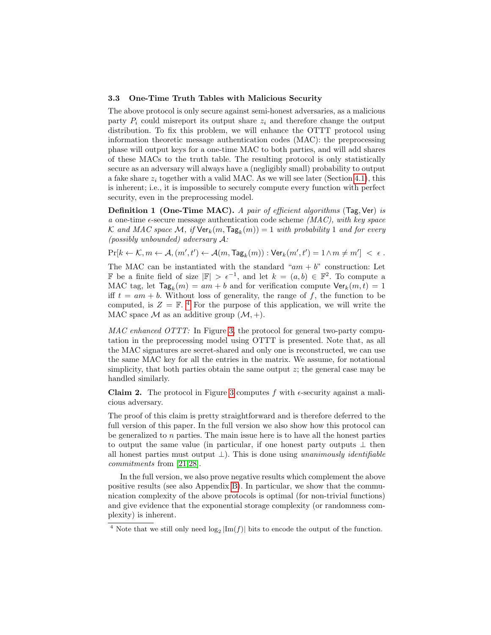## 3.3 One-Time Truth Tables with Malicious Security

The above protocol is only secure against semi-honest adversaries, as a malicious party  $P_i$  could misreport its output share  $z_i$  and therefore change the output distribution. To fix this problem, we will enhance the OTTT protocol using information theoretic message authentication codes (MAC): the preprocessing phase will output keys for a one-time MAC to both parties, and will add shares of these MACs to the truth table. The resulting protocol is only statistically secure as an adversary will always have a (negligibly small) probability to output a fake share  $z_i$  together with a valid MAC. As we will see later (Section [4.1\)](#page-12-1), this is inherent; i.e., it is impossible to securely compute every function with perfect security, even in the preprocessing model.

Definition 1 (One-Time MAC). A pair of efficient algorithms (Tag, Ver) is a one-time  $\epsilon$ -secure message authentication code scheme (MAC), with key space K and MAC space M, if  $\mathsf{Ver}_k(m,\mathsf{Tag}_k(m)) = 1$  with probability 1 and for every (possibly unbounded) adversary A:

 $\Pr[k \leftarrow \mathcal{K}, m \leftarrow \mathcal{A}, (m', t') \leftarrow \mathcal{A}(m, \mathsf{Tag}_k(m)) : \mathsf{Ver}_k(m', t') = 1 \land m \neq m'] \; < \; \epsilon \; .$ 

The MAC can be instantiated with the standard " $am + b$ " construction: Let F be a finite field of size  $|\mathbb{F}| > \epsilon^{-1}$ , and let  $k = (a, b) \in \mathbb{F}^2$ . To compute a MAC tag, let  $\textsf{Tag}_k(m) = am + b$  and for verification compute  $\textsf{Ver}_k(m, t) = 1$ iff  $t = am + b$ . Without loss of generality, the range of f, the function to be computed, is  $Z = \mathbb{F}$ . <sup>[4](#page-10-1)</sup> For the purpose of this application, we will write the MAC space  $\mathcal M$  as an additive group  $(\mathcal M, +)$ .

MAC enhanced OTTT: In Figure [3,](#page-11-2) the protocol for general two-party computation in the preprocessing model using OTTT is presented. Note that, as all the MAC signatures are secret-shared and only one is reconstructed, we can use the same MAC key for all the entries in the matrix. We assume, for notational simplicity, that both parties obtain the same output  $z$ ; the general case may be handled similarly.

<span id="page-10-0"></span>**Claim 2.** The protocol in Figure [3](#page-11-2) computes f with  $\epsilon$ -security against a malicious adversary.

The proof of this claim is pretty straightforward and is therefore deferred to the full version of this paper. In the full version we also show how this protocol can be generalized to  $n$  parties. The main issue here is to have all the honest parties to output the same value (in particular, if one honest party outputs  $\perp$  then all honest parties must output  $\perp$ ). This is done using unanimously identifiable commitments from [\[21](#page-16-12)[,28\]](#page-16-13).

In the full version, we also prove negative results which complement the above positive results (see also Appendix [B\)](#page-18-2). In particular, we show that the communication complexity of the above protocols is optimal (for non-trivial functions) and give evidence that the exponential storage complexity (or randomness complexity) is inherent.

<span id="page-10-1"></span><sup>&</sup>lt;sup>4</sup> Note that we still only need  $\log_2 |\text{Im}(f)|$  bits to encode the output of the function.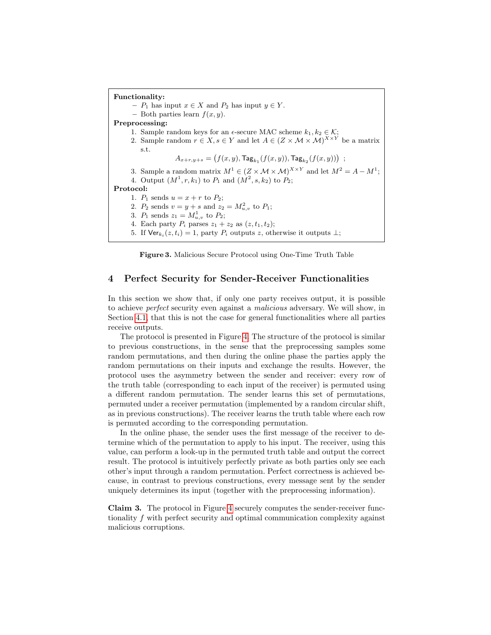Functionality:  $-P_1$  has input  $x \in X$  and  $P_2$  has input  $y \in Y$ . – Both parties learn  $f(x, y)$ . Preprocessing: 1. Sample random keys for an  $\epsilon$ -secure MAC scheme  $k_1, k_2 \in \mathcal{K}$ ; 2. Sample random  $r \in X$ ,  $s \in Y$  and let  $A \in (Z \times M \times M)^{X \times Y}$  be a matrix s.t.  $A_{x+r,y+s} = (f(x,y), \textsf{Tag}_{k_1}(f(x,y)), \textsf{Tag}_{k_2}(f(x,y)))$ ; 3. Sample a random matrix  $M^1 \in (Z \times \mathcal{M} \times \mathcal{M})^{X \times Y}$  and let  $M^2 = A - M^1$ ; 4. Output  $(M^1, r, k_1)$  to  $P_1$  and  $(M^2, s, k_2)$  to  $P_2$ ; Protocol: 1.  $P_1$  sends  $u = x + r$  to  $P_2$ ; 2.  $P_2$  sends  $v = y + s$  and  $z_2 = M_{u,v}^2$  to  $P_1$ ; 3.  $P_1$  sends  $z_1 = M_{u,v}^1$  to  $P_2$ ; 4. Each party  $P_i$  parses  $z_1 + z_2$  as  $(z, t_1, t_2);$ 5. If  $\text{Ver}_{k_i}(z, t_i) = 1$ , party  $P_i$  outputs z, otherwise it outputs  $\perp$ ;

<span id="page-11-2"></span>Figure 3. Malicious Secure Protocol using One-Time Truth Table

## <span id="page-11-1"></span>4 Perfect Security for Sender-Receiver Functionalities

In this section we show that, if only one party receives output, it is possible to achieve perfect security even against a malicious adversary. We will show, in Section [4.1,](#page-12-1) that this is not the case for general functionalities where all parties receive outputs.

The protocol is presented in Figure [4.](#page-12-2) The structure of the protocol is similar to previous constructions, in the sense that the preprocessing samples some random permutations, and then during the online phase the parties apply the random permutations on their inputs and exchange the results. However, the protocol uses the asymmetry between the sender and receiver: every row of the truth table (corresponding to each input of the receiver) is permuted using a different random permutation. The sender learns this set of permutations, permuted under a receiver permutation (implemented by a random circular shift, as in previous constructions). The receiver learns the truth table where each row is permuted according to the corresponding permutation.

In the online phase, the sender uses the first message of the receiver to determine which of the permutation to apply to his input. The receiver, using this value, can perform a look-up in the permuted truth table and output the correct result. The protocol is intuitively perfectly private as both parties only see each other's input through a random permutation. Perfect correctness is achieved because, in contrast to previous constructions, every message sent by the sender uniquely determines its input (together with the preprocessing information).

<span id="page-11-0"></span>Claim 3. The protocol in Figure [4](#page-12-2) securely computes the sender-receiver functionality f with perfect security and optimal communication complexity against malicious corruptions.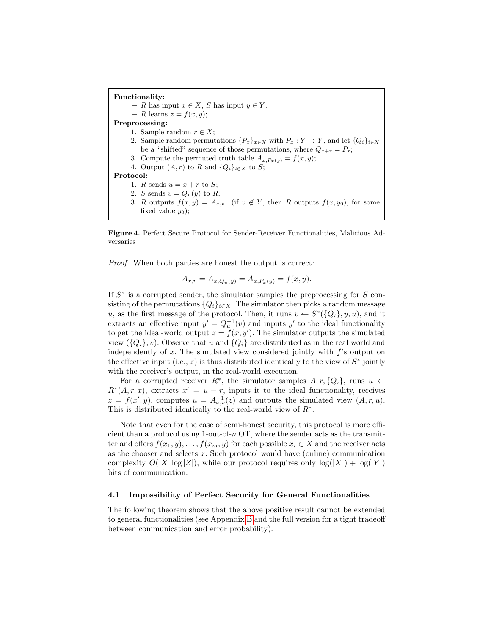Functionality:  $- R$  has input  $x \in X$ , S has input  $y \in Y$ .  $-R$  learns  $z = f(x, y);$ Preprocessing: 1. Sample random  $r \in X$ ; 2. Sample random permutations  $\{P_x\}_{x\in X}$  with  $P_x: Y \to Y$ , and let  $\{Q_i\}_{i\in X}$ be a "shifted" sequence of those permutations, where  $Q_{x+r} = P_x$ ; 3. Compute the permuted truth table  $A_{x,P_x(y)} = f(x, y);$ 4. Output  $(A, r)$  to R and  $\{Q_i\}_{i \in X}$  to S; Protocol: 1. R sends  $u = x + r$  to S; 2. S sends  $v = Q_u(y)$  to R; 3. R outputs  $f(x, y) = A_{x,y}$  (if  $v \notin Y$ , then R outputs  $f(x, y_0)$ , for some fixed value  $y_0$ );

<span id="page-12-2"></span>Figure 4. Perfect Secure Protocol for Sender-Receiver Functionalities, Malicious Adversaries

Proof. When both parties are honest the output is correct:

$$
A_{x,v} = A_{x,Q_u(y)} = A_{x,P_x(y)} = f(x,y).
$$

If  $S^*$  is a corrupted sender, the simulator samples the preprocessing for  $S$  consisting of the permutations  $\{Q_i\}_{i\in X}$ . The simulator then picks a random message u, as the first message of the protocol. Then, it runs  $v \leftarrow S^*(\{Q_i\}, y, u)$ , and it extracts an effective input  $y' = Q_u^{-1}(v)$  and inputs y' to the ideal functionality to get the ideal-world output  $z = f(x, y')$ . The simulator outputs the simulated view  $({Q_i}, v)$ . Observe that u and  ${Q_i}$  are distributed as in the real world and independently of  $x$ . The simulated view considered jointly with  $f$ 's output on the effective input (i.e.,  $z$ ) is thus distributed identically to the view of  $S^*$  jointly with the receiver's output, in the real-world execution.

For a corrupted receiver  $R^*$ , the simulator samples  $A, r, \{Q_i\}$ , runs  $u \leftarrow$  $R^*(A,r,x)$ , extracts  $x' = u - r$ , inputs it to the ideal functionality, receives  $z = f(x', y)$ , computes  $u = A_{x,y}^{-1}(z)$  and outputs the simulated view  $(A, r, u)$ . This is distributed identically to the real-world view of  $R^*$ .

Note that even for the case of semi-honest security, this protocol is more efficient than a protocol using 1-out-of- $n$  OT, where the sender acts as the transmitter and offers  $f(x_1, y), \ldots, f(x_m, y)$  for each possible  $x_i \in X$  and the receiver acts as the chooser and selects  $x$ . Such protocol would have (online) communication complexity  $O(|X| \log |Z|)$ , while our protocol requires only  $\log(|X|) + \log(|Y|)$ bits of communication.

## <span id="page-12-1"></span>4.1 Impossibility of Perfect Security for General Functionalities

<span id="page-12-0"></span>The following theorem shows that the above positive result cannot be extended to general functionalities (see Appendix [B](#page-18-2) and the full version for a tight tradeoff between communication and error probability).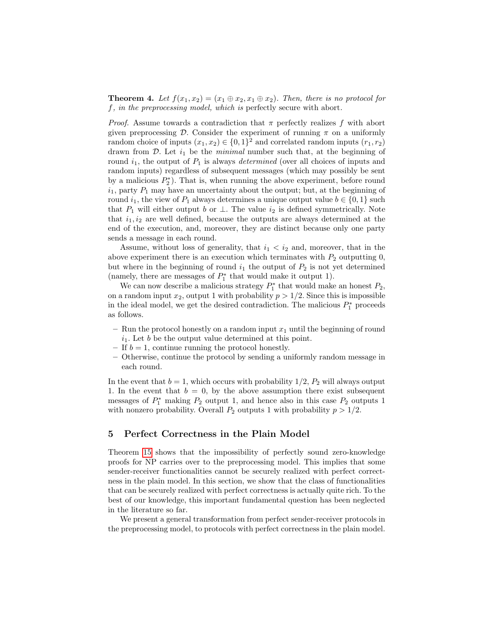**Theorem 4.** Let  $f(x_1, x_2) = (x_1 \oplus x_2, x_1 \oplus x_2)$ . Then, there is no protocol for f, in the preprocessing model, which is perfectly secure with abort.

*Proof.* Assume towards a contradiction that  $\pi$  perfectly realizes f with abort given preprocessing  $\mathcal{D}$ . Consider the experiment of running  $\pi$  on a uniformly random choice of inputs  $(x_1, x_2) \in \{0, 1\}^2$  and correlated random inputs  $(r_1, r_2)$ drawn from  $D$ . Let  $i_1$  be the *minimal* number such that, at the beginning of round  $i_1$ , the output of  $P_1$  is always *determined* (over all choices of inputs and random inputs) regardless of subsequent messages (which may possibly be sent by a malicious  $P_2^*$ ). That is, when running the above experiment, before round  $i_1$ , party  $P_1$  may have an uncertainty about the output; but, at the beginning of round  $i_1$ , the view of  $P_1$  always determines a unique output value  $b \in \{0, 1\}$  such that  $P_1$  will either output b or  $\perp$ . The value  $i_2$  is defined symmetrically. Note that  $i_1, i_2$  are well defined, because the outputs are always determined at the end of the execution, and, moreover, they are distinct because only one party sends a message in each round.

Assume, without loss of generality, that  $i_1 < i_2$  and, moreover, that in the above experiment there is an execution which terminates with  $P_2$  outputting 0, but where in the beginning of round  $i_1$  the output of  $P_2$  is not yet determined (namely, there are messages of  $P_1^*$  that would make it output 1).

We can now describe a malicious strategy  $P_1^*$  that would make an honest  $P_2$ , on a random input  $x_2$ , output 1 with probability  $p > 1/2$ . Since this is impossible in the ideal model, we get the desired contradiction. The malicious  $P_1^*$  proceeds as follows.

- $-$  Run the protocol honestly on a random input  $x_1$  until the beginning of round  $i_1$ . Let b be the output value determined at this point.
- If  $b = 1$ , continue running the protocol honestly.
- Otherwise, continue the protocol by sending a uniformly random message in each round.

In the event that  $b = 1$ , which occurs with probability  $1/2$ ,  $P_2$  will always output 1. In the event that  $b = 0$ , by the above assumption there exist subsequent messages of  $P_1^*$  making  $P_2$  output 1, and hence also in this case  $P_2$  outputs 1 with nonzero probability. Overall  $P_2$  outputs 1 with probability  $p > 1/2$ .

## 5 Perfect Correctness in the Plain Model

Theorem [15](#page-19-1) shows that the impossibility of perfectly sound zero-knowledge proofs for NP carries over to the preprocessing model. This implies that some sender-receiver functionalities cannot be securely realized with perfect correctness in the plain model. In this section, we show that the class of functionalities that can be securely realized with perfect correctness is actually quite rich. To the best of our knowledge, this important fundamental question has been neglected in the literature so far.

We present a general transformation from perfect sender-receiver protocols in the preprocessing model, to protocols with perfect correctness in the plain model.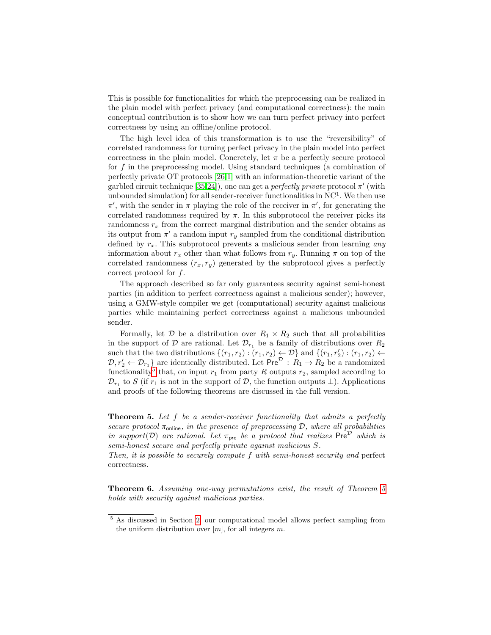This is possible for functionalities for which the preprocessing can be realized in the plain model with perfect privacy (and computational correctness): the main conceptual contribution is to show how we can turn perfect privacy into perfect correctness by using an offline/online protocol.

The high level idea of this transformation is to use the "reversibility" of correlated randomness for turning perfect privacy in the plain model into perfect correctness in the plain model. Concretely, let  $\pi$  be a perfectly secure protocol for  $f$  in the preprocessing model. Using standard techniques (a combination of perfectly private OT protocols [\[26](#page-16-14)[,1\]](#page-15-19) with an information-theoretic variant of the garbled circuit technique [\[35,](#page-16-0)[24\]](#page-16-2)), one can get a *perfectly private* protocol  $\pi'$  (with unbounded simulation) for all sender-receiver functionalities in  $NC<sup>1</sup>$ . We then use  $\pi'$ , with the sender in  $\pi$  playing the role of the receiver in  $\pi'$ , for generating the correlated randomness required by  $\pi$ . In this subprotocol the receiver picks its randomness  $r_x$  from the correct marginal distribution and the sender obtains as its output from  $\pi'$  a random input  $r_y$  sampled from the conditional distribution defined by  $r_x$ . This subprotocol prevents a malicious sender from learning any information about  $r_x$  other than what follows from  $r_y$ . Running  $\pi$  on top of the correlated randomness  $(r_x, r_y)$  generated by the subprotocol gives a perfectly correct protocol for  $f$ .

The approach described so far only guarantees security against semi-honest parties (in addition to perfect correctness against a malicious sender); however, using a GMW-style compiler we get (computational) security against malicious parties while maintaining perfect correctness against a malicious unbounded sender.

Formally, let  $D$  be a distribution over  $R_1 \times R_2$  such that all probabilities in the support of  $D$  are rational. Let  $D_{r_1}$  be a family of distributions over  $R_2$ such that the two distributions  $\{(r_1, r_2) : (r_1, r_2) \leftarrow \mathcal{D}\}\$  and  $\{(r_1, r_2) : (r_1, r_2) \leftarrow \emptyset\}$  $\mathcal{D}, r'_2 \leftarrow \mathcal{D}_{r_1}$  are identically distributed. Let  $\mathsf{Pre}^{\mathcal{D}} : R_1 \to R_2$  be a randomized functionality<sup>[5](#page-14-2)</sup> that, on input  $r_1$  from party R outputs  $r_2$ , sampled according to  $\mathcal{D}_{r_1}$  to S (if  $r_1$  is not in the support of  $\mathcal{D}$ , the function outputs  $\perp$ ). Applications and proofs of the following theorems are discussed in the full version.

<span id="page-14-0"></span>**Theorem 5.** Let f be a sender-receiver functionality that admits a perfectly secure protocol  $\pi_{\text{online}}$ , in the presence of preprocessing  $D$ , where all probabilities in support(D) are rational. Let  $\pi_{pre}$  be a protocol that realizes Pre<sup>D</sup> which is semi-honest secure and perfectly private against malicious S.

Then, it is possible to securely compute f with semi-honest security and perfect correctness.

<span id="page-14-1"></span>Theorem 6. Assuming one-way permutations exist, the result of Theorem [5](#page-14-0) holds with security against malicious parties.

<span id="page-14-2"></span><sup>5</sup> As discussed in Section [2,](#page-6-1) our computational model allows perfect sampling from the uniform distribution over  $[m]$ , for all integers m.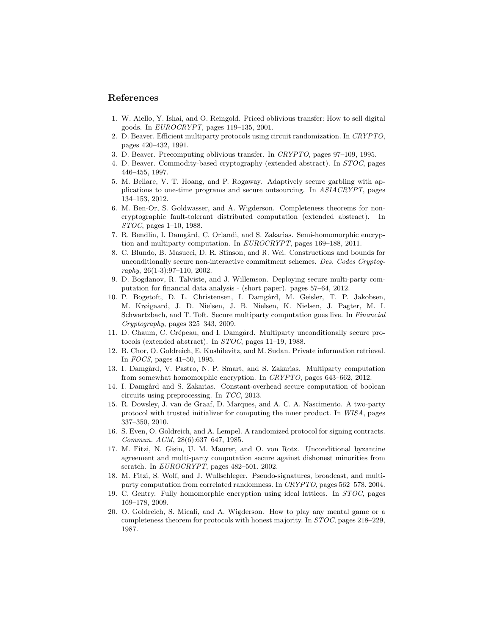## References

- <span id="page-15-19"></span>1. W. Aiello, Y. Ishai, and O. Reingold. Priced oblivious transfer: How to sell digital goods. In EUROCRYPT, pages 119–135, 2001.
- <span id="page-15-14"></span>2. D. Beaver. Efficient multiparty protocols using circuit randomization. In CRYPTO, pages 420–432, 1991.
- <span id="page-15-7"></span>3. D. Beaver. Precomputing oblivious transfer. In CRYPTO, pages 97–109, 1995.
- <span id="page-15-3"></span>4. D. Beaver. Commodity-based cryptography (extended abstract). In STOC, pages 446–455, 1997.
- <span id="page-15-12"></span>5. M. Bellare, V. T. Hoang, and P. Rogaway. Adaptively secure garbling with applications to one-time programs and secure outsourcing. In ASIACRYPT, pages 134–153, 2012.
- <span id="page-15-1"></span>6. M. Ben-Or, S. Goldwasser, and A. Wigderson. Completeness theorems for noncryptographic fault-tolerant distributed computation (extended abstract). In STOC, pages 1–10, 1988.
- <span id="page-15-8"></span>7. R. Bendlin, I. Damgård, C. Orlandi, and S. Zakarias. Semi-homomorphic encryption and multiparty computation. In EUROCRYPT, pages 169–188, 2011.
- <span id="page-15-13"></span>8. C. Blundo, B. Masucci, D. R. Stinson, and R. Wei. Constructions and bounds for unconditionally secure non-interactive commitment schemes. Des. Codes Cryptography,  $26(1-3):97-110$ ,  $2002$ .
- <span id="page-15-5"></span>9. D. Bogdanov, R. Talviste, and J. Willemson. Deploying secure multi-party computation for financial data analysis - (short paper). pages 57–64, 2012.
- <span id="page-15-4"></span>10. P. Bogetoft, D. L. Christensen, I. Damgård, M. Geisler, T. P. Jakobsen, M. Krøigaard, J. D. Nielsen, J. B. Nielsen, K. Nielsen, J. Pagter, M. I. Schwartzbach, and T. Toft. Secure multiparty computation goes live. In Financial Cryptography, pages 325–343, 2009.
- <span id="page-15-2"></span>11. D. Chaum, C. Crépeau, and I. Damgård. Multiparty unconditionally secure protocols (extended abstract). In STOC, pages 11–19, 1988.
- <span id="page-15-10"></span>12. B. Chor, O. Goldreich, E. Kushilevitz, and M. Sudan. Private information retrieval. In FOCS, pages 41–50, 1995.
- <span id="page-15-9"></span>13. I. Damgård, V. Pastro, N. P. Smart, and S. Zakarias. Multiparty computation from somewhat homomorphic encryption. In CRYPTO, pages 643–662, 2012.
- <span id="page-15-15"></span>14. I. Damgård and S. Zakarias. Constant-overhead secure computation of boolean circuits using preprocessing. In TCC, 2013.
- <span id="page-15-16"></span>15. R. Dowsley, J. van de Graaf, D. Marques, and A. C. A. Nascimento. A two-party protocol with trusted initializer for computing the inner product. In WISA, pages 337–350, 2010.
- <span id="page-15-6"></span>16. S. Even, O. Goldreich, and A. Lempel. A randomized protocol for signing contracts. Commun. ACM, 28(6):637–647, 1985.
- <span id="page-15-17"></span>17. M. Fitzi, N. Gisin, U. M. Maurer, and O. von Rotz. Unconditional byzantine agreement and multi-party computation secure against dishonest minorities from scratch. In EUROCRYPT, pages 482-501. 2002.
- <span id="page-15-18"></span>18. M. Fitzi, S. Wolf, and J. Wullschleger. Pseudo-signatures, broadcast, and multiparty computation from correlated randomness. In CRYPTO, pages 562–578. 2004.
- <span id="page-15-11"></span>19. C. Gentry. Fully homomorphic encryption using ideal lattices. In STOC, pages 169–178, 2009.
- <span id="page-15-0"></span>20. O. Goldreich, S. Micali, and A. Wigderson. How to play any mental game or a completeness theorem for protocols with honest majority. In STOC, pages 218–229, 1987.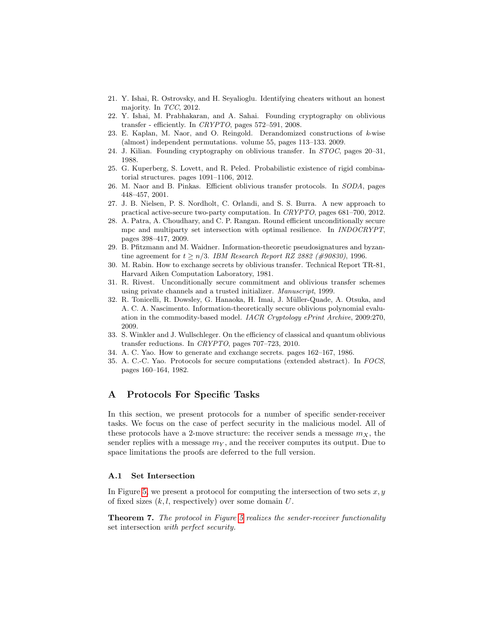- <span id="page-16-12"></span>21. Y. Ishai, R. Ostrovsky, and H. Seyalioglu. Identifying cheaters without an honest majority. In TCC, 2012.
- <span id="page-16-3"></span>22. Y. Ishai, M. Prabhakaran, and A. Sahai. Founding cryptography on oblivious transfer - efficiently. In CRYPTO, pages 572–591, 2008.
- <span id="page-16-16"></span>23. E. Kaplan, M. Naor, and O. Reingold. Derandomized constructions of  $k$ -wise (almost) independent permutations. volume 55, pages 113–133. 2009.
- <span id="page-16-2"></span>24. J. Kilian. Founding cryptography on oblivious transfer. In STOC, pages 20–31, 1988.
- <span id="page-16-15"></span>25. G. Kuperberg, S. Lovett, and R. Peled. Probabilistic existence of rigid combinatorial structures. pages 1091–1106, 2012.
- <span id="page-16-14"></span>26. M. Naor and B. Pinkas. Efficient oblivious transfer protocols. In SODA, pages 448–457, 2001.
- <span id="page-16-7"></span>27. J. B. Nielsen, P. S. Nordholt, C. Orlandi, and S. S. Burra. A new approach to practical active-secure two-party computation. In CRYPTO, pages 681–700, 2012.
- <span id="page-16-13"></span>28. A. Patra, A. Choudhary, and C. P. Rangan. Round efficient unconditionally secure mpc and multiparty set intersection with optimal resilience. In INDOCRYPT, pages 398–417, 2009.
- <span id="page-16-11"></span>29. B. Pfitzmann and M. Waidner. Information-theoretic pseudosignatures and byzantine agreement for  $t > n/3$ . IBM Research Report RZ 2882 (#90830), 1996.
- <span id="page-16-1"></span>30. M. Rabin. How to exchange secrets by oblivious transfer. Technical Report TR-81, Harvard Aiken Computation Laboratory, 1981.
- <span id="page-16-9"></span>31. R. Rivest. Unconditionally secure commitment and oblivious transfer schemes using private channels and a trusted initializer. Manuscript, 1999.
- <span id="page-16-8"></span>32. R. Tonicelli, R. Dowsley, G. Hanaoka, H. Imai, J. M¨uller-Quade, A. Otsuka, and A. C. A. Nascimento. Information-theoretically secure oblivious polynomial evaluation in the commodity-based model. IACR Cryptology ePrint Archive, 2009:270, 2009.
- <span id="page-16-10"></span>33. S. Winkler and J. Wullschleger. On the efficiency of classical and quantum oblivious transfer reductions. In CRYPTO, pages 707–723, 2010.
- <span id="page-16-4"></span>34. A. C. Yao. How to generate and exchange secrets. pages 162–167, 1986.
- <span id="page-16-0"></span>35. A. C.-C. Yao. Protocols for secure computations (extended abstract). In FOCS, pages 160–164, 1982.

# <span id="page-16-5"></span>A Protocols For Specific Tasks

In this section, we present protocols for a number of specific sender-receiver tasks. We focus on the case of perfect security in the malicious model. All of these protocols have a 2-move structure: the receiver sends a message  $m<sub>X</sub>$ , the sender replies with a message  $m<sub>Y</sub>$ , and the receiver computes its output. Due to space limitations the proofs are deferred to the full version.

## A.1 Set Intersection

In Figure [5,](#page-17-0) we present a protocol for computing the intersection of two sets  $x, y$ of fixed sizes  $(k, l,$  respectively) over some domain U.

<span id="page-16-6"></span>Theorem 7. The protocol in Figure [5](#page-17-0) realizes the sender-receiver functionality set intersection with perfect security.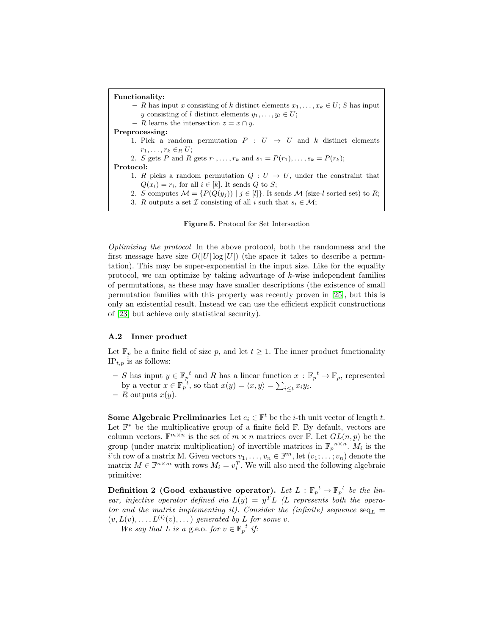Functionality: – R has input x consisting of k distinct elements  $x_1, \ldots, x_k \in U$ ; S has input y consisting of l distinct elements  $y_1, \ldots, y_l \in U$ ; – R learns the intersection  $z = x \cap y$ . Preprocessing: 1. Pick a random permutation  $P : U \rightarrow U$  and k distinct elements  $r_1, \ldots, r_k \in_R U;$ 2. S gets P and R gets  $r_1, ..., r_k$  and  $s_1 = P(r_1), ..., s_k = P(r_k);$ Protocol: 1. R picks a random permutation  $Q: U \rightarrow U$ , under the constraint that  $Q(x_i) = r_i$ , for all  $i \in [k]$ . It sends Q to S; 2. S computes  $\mathcal{M} = \{P(Q(y_j)) \mid j \in [l]\}\.$  It sends  $\mathcal{M}$  (size-l sorted set) to R; 3. R outputs a set  $\mathcal I$  consisting of all i such that  $s_i \in \mathcal M$ ;

<span id="page-17-0"></span>Figure 5. Protocol for Set Intersection

Optimizing the protocol In the above protocol, both the randomness and the first message have size  $O(|U| \log |U|)$  (the space it takes to describe a permutation). This may be super-exponential in the input size. Like for the equality protocol, we can optimize by taking advantage of k-wise independent families of permutations, as these may have smaller descriptions (the existence of small permutation families with this property was recently proven in [\[25\]](#page-16-15), but this is only an existential result. Instead we can use the efficient explicit constructions of [\[23\]](#page-16-16) but achieve only statistical security).

## A.2 Inner product

Let  $\mathbb{F}_p$  be a finite field of size p, and let  $t \geq 1$ . The inner product functionality  $IP_{t,p}$  is as follows:

- S has input  $y \in \mathbb{F}_p^t$  and R has a linear function  $x : \mathbb{F}_p^t \to \mathbb{F}_p$ , represented by a vector  $x \in \mathbb{F}_p^{\hat{i}},$  so that  $x(y) = \langle x, y \rangle = \sum_{i \leq t} x_i y_i$ .

**Some Algebraic Preliminaries** Let  $e_i \in \mathbb{F}^t$  be the *i*-th unit vector of length t. Let  $\mathbb{F}^*$  be the multiplicative group of a finite field  $\mathbb{F}$ . By default, vectors are column vectors.  $\mathbb{F}^{m \times n}$  is the set of  $m \times n$  matrices over  $\mathbb{F}$ . Let  $GL(n, p)$  be the group (under matrix multiplication) of invertible matrices in  $\mathbb{F}_p^{n \times n}$ .  $M_i$  is the i'th row of a matrix M. Given vectors  $v_1, \ldots, v_n \in \mathbb{F}^m$ , let  $(v_1; \ldots; v_n)$  denote the matrix  $M \in \mathbb{F}^{n \times m}$  with rows  $M_i = v_i^T$ . We will also need the following algebraic primitive:

Definition 2 (Good exhaustive operator). Let  $L : \mathbb{F}_p^{\phantom{p}t} \to \mathbb{F}_p^{\phantom{p}t}$  be the linear, injective operator defined via  $L(y) = y^T L$  (L represents both the operator and the matrix implementing it). Consider the (infinite) sequence  $\text{seq}_L$  =  $(v, L(v), \ldots, L^{(i)}(v), \ldots)$  generated by L for some v.

We say that L is a g.e.o. for  $v \in \mathbb{F}_p^t$  if:

<sup>–</sup> R outputs  $x(y)$ .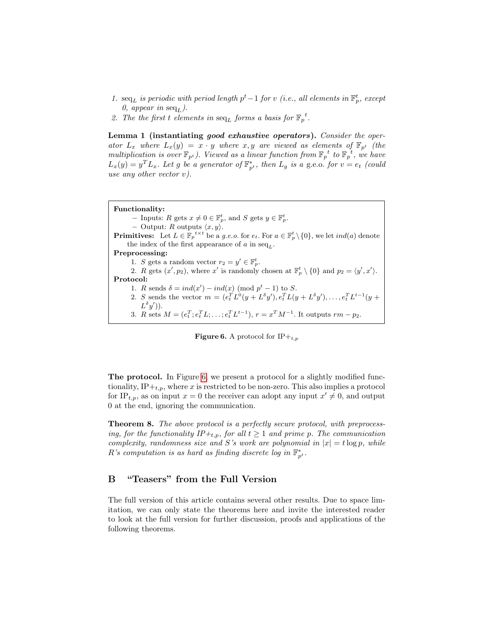- 1. seq<sub>L</sub> is periodic with period length  $p<sup>t</sup> 1$  for v (i.e., all elements in  $\mathbb{F}_p^t$ , except 0, appear in  $seq_L$ ).
- 2. The the first t elements in  $\text{seq}_L$  forms a basis for  $\mathbb{F}_p^{\,t}$ .

Lemma 1 (instantiating good exhaustive operators). Consider the operator  $L_x$  where  $L_x(y) = x \cdot y$  where  $x, y$  are viewed as elements of  $\mathbb{F}_{p^t}$  (the multiplication is over  $\mathbb{F}_{p^t}$ ). Viewed as a linear function from  $\mathbb{F}_p^t$  to  $\mathbb{F}_p^t$ , we have  $L_x(y) = y^T L_x$ . Let g be a generator of  $\mathbb{F}_{p^t}^*$ , then  $L_g$  is a g.e.o. for  $v = e_t$  (could use any other vector v).

Functionality: - Inputs:  $R$  gets  $x \neq 0 \in \mathbb{F}_p^t$ , and  $S$  gets  $y \in \mathbb{F}_p^t$ . – Output: R outputs  $\langle x, y \rangle$ . **Primitives:** Let  $L \in \mathbb{F}_p^{t \times t}$  be a g.e.o. for  $e_t$ . For  $a \in \mathbb{F}_p^t \setminus \{0\}$ , we let  $ind(a)$  denote the index of the first appearance of a in  $seq_L$ . Preprocessing: 1. S gets a random vector  $r_2 = y' \in \mathbb{F}_p^t$ . 2. R gets  $(x', p_2)$ , where x' is randomly chosen at  $\mathbb{F}_p^t \setminus \{0\}$  and  $p_2 = \langle y', x' \rangle$ . Protocol: 1. R sends  $\delta = ind(x') - ind(x) \pmod{p^t - 1}$  to S. 2. S sends the vector  $m = (e_t^T L^0(y + L^{\delta}y'), e_t^T L(y + L^{\delta}y'), \dots, e_t^T L^{t-1}(y +$  $L^{\delta}y')$ ). 3. R sets  $M = (e_t^T; e_t^T L; \dots; e_t^T L^{t-1}), r = x^T M^{-1}$ . It outputs  $rm - p_2$ .

<span id="page-18-3"></span>**Figure 6.** A protocol for  $IP+_{t,p}$ 

The protocol. In Figure [6,](#page-18-3) we present a protocol for a slightly modified functionality,  $IP+_{t,p}$ , where x is restricted to be non-zero. This also implies a protocol for IP<sub>t,p</sub>, as on input  $x = 0$  the receiver can adopt any input  $x' \neq 0$ , and output 0 at the end, ignoring the communication.

<span id="page-18-0"></span>Theorem 8. The above protocol is a perfectly secure protocol, with preprocessing, for the functionality  $IP+_{t,p}$ , for all  $t \geq 1$  and prime p. The communication complexity, randomness size and S's work are polynomial in  $|x| = t \log p$ , while R's computation is as hard as finding discrete log in  $\mathbb{F}_{p^t}^*$ .

# <span id="page-18-2"></span>B "Teasers" from the Full Version

<span id="page-18-1"></span>The full version of this article contains several other results. Due to space limitation, we can only state the theorems here and invite the interested reader to look at the full version for further discussion, proofs and applications of the following theorems.